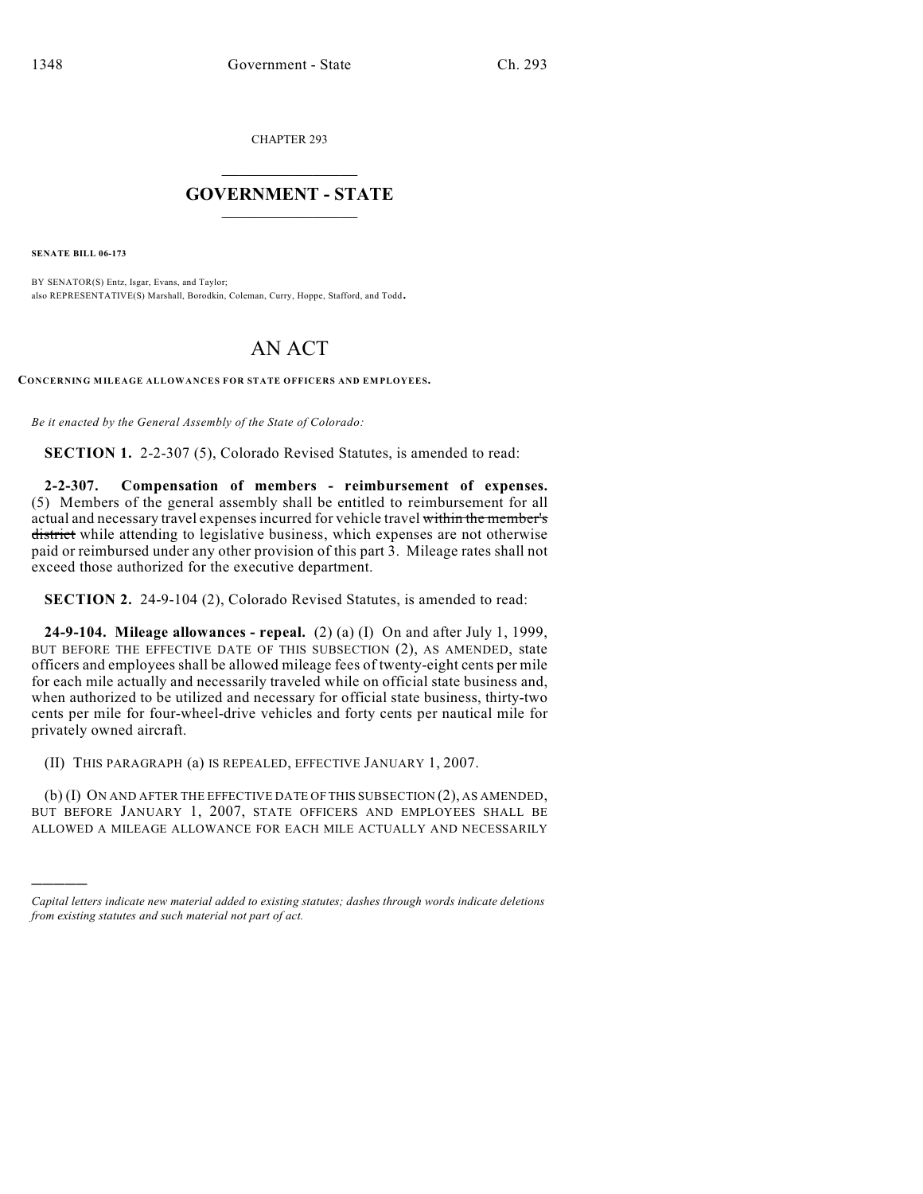CHAPTER 293

## $\overline{\phantom{a}}$  . The set of the set of the set of the set of the set of the set of the set of the set of the set of the set of the set of the set of the set of the set of the set of the set of the set of the set of the set o **GOVERNMENT - STATE**  $\_$

**SENATE BILL 06-173**

)))))

BY SENATOR(S) Entz, Isgar, Evans, and Taylor; also REPRESENTATIVE(S) Marshall, Borodkin, Coleman, Curry, Hoppe, Stafford, and Todd.

## AN ACT

**CONCERNING MILEAGE ALLOWANCES FOR STATE OFFICERS AND EMPLOYEES.**

*Be it enacted by the General Assembly of the State of Colorado:*

**SECTION 1.** 2-2-307 (5), Colorado Revised Statutes, is amended to read:

**2-2-307. Compensation of members - reimbursement of expenses.** (5) Members of the general assembly shall be entitled to reimbursement for all actual and necessary travel expenses incurred for vehicle travel within the member's district while attending to legislative business, which expenses are not otherwise paid or reimbursed under any other provision of this part 3. Mileage rates shall not exceed those authorized for the executive department.

**SECTION 2.** 24-9-104 (2), Colorado Revised Statutes, is amended to read:

**24-9-104. Mileage allowances - repeal.** (2) (a) (I) On and after July 1, 1999, BUT BEFORE THE EFFECTIVE DATE OF THIS SUBSECTION (2), AS AMENDED, state officers and employees shall be allowed mileage fees of twenty-eight cents per mile for each mile actually and necessarily traveled while on official state business and, when authorized to be utilized and necessary for official state business, thirty-two cents per mile for four-wheel-drive vehicles and forty cents per nautical mile for privately owned aircraft.

(II) THIS PARAGRAPH (a) IS REPEALED, EFFECTIVE JANUARY 1, 2007.

(b) (I) ON AND AFTER THE EFFECTIVE DATE OF THIS SUBSECTION (2), AS AMENDED, BUT BEFORE JANUARY 1, 2007, STATE OFFICERS AND EMPLOYEES SHALL BE ALLOWED A MILEAGE ALLOWANCE FOR EACH MILE ACTUALLY AND NECESSARILY

*Capital letters indicate new material added to existing statutes; dashes through words indicate deletions from existing statutes and such material not part of act.*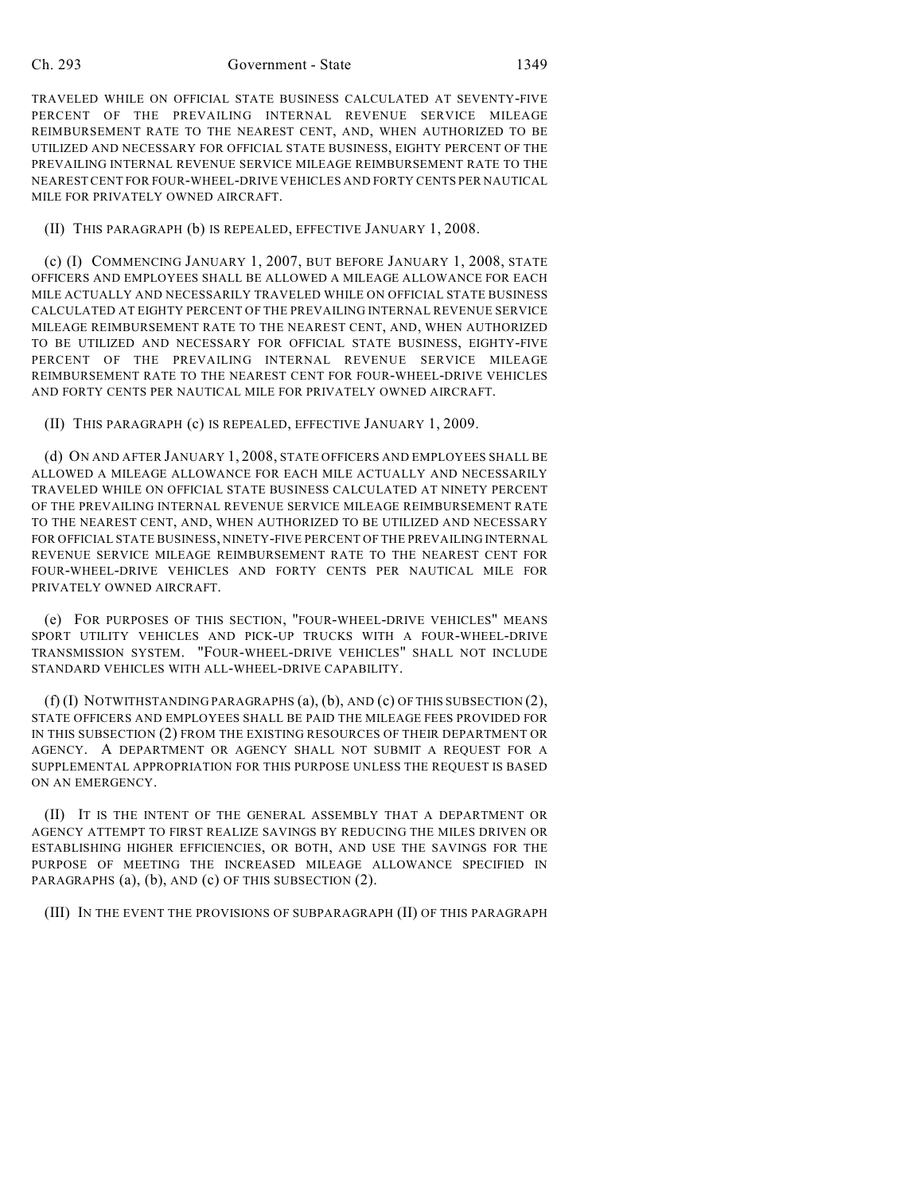## Ch. 293 Government - State 1349

TRAVELED WHILE ON OFFICIAL STATE BUSINESS CALCULATED AT SEVENTY-FIVE PERCENT OF THE PREVAILING INTERNAL REVENUE SERVICE MILEAGE REIMBURSEMENT RATE TO THE NEAREST CENT, AND, WHEN AUTHORIZED TO BE UTILIZED AND NECESSARY FOR OFFICIAL STATE BUSINESS, EIGHTY PERCENT OF THE PREVAILING INTERNAL REVENUE SERVICE MILEAGE REIMBURSEMENT RATE TO THE NEAREST CENT FOR FOUR-WHEEL-DRIVE VEHICLES AND FORTY CENTS PER NAUTICAL MILE FOR PRIVATELY OWNED AIRCRAFT.

## (II) THIS PARAGRAPH (b) IS REPEALED, EFFECTIVE JANUARY 1, 2008.

(c) (I) COMMENCING JANUARY 1, 2007, BUT BEFORE JANUARY 1, 2008, STATE OFFICERS AND EMPLOYEES SHALL BE ALLOWED A MILEAGE ALLOWANCE FOR EACH MILE ACTUALLY AND NECESSARILY TRAVELED WHILE ON OFFICIAL STATE BUSINESS CALCULATED AT EIGHTY PERCENT OF THE PREVAILING INTERNAL REVENUE SERVICE MILEAGE REIMBURSEMENT RATE TO THE NEAREST CENT, AND, WHEN AUTHORIZED TO BE UTILIZED AND NECESSARY FOR OFFICIAL STATE BUSINESS, EIGHTY-FIVE PERCENT OF THE PREVAILING INTERNAL REVENUE SERVICE MILEAGE REIMBURSEMENT RATE TO THE NEAREST CENT FOR FOUR-WHEEL-DRIVE VEHICLES AND FORTY CENTS PER NAUTICAL MILE FOR PRIVATELY OWNED AIRCRAFT.

(II) THIS PARAGRAPH (c) IS REPEALED, EFFECTIVE JANUARY 1, 2009.

(d) ON AND AFTER JANUARY 1, 2008, STATE OFFICERS AND EMPLOYEES SHALL BE ALLOWED A MILEAGE ALLOWANCE FOR EACH MILE ACTUALLY AND NECESSARILY TRAVELED WHILE ON OFFICIAL STATE BUSINESS CALCULATED AT NINETY PERCENT OF THE PREVAILING INTERNAL REVENUE SERVICE MILEAGE REIMBURSEMENT RATE TO THE NEAREST CENT, AND, WHEN AUTHORIZED TO BE UTILIZED AND NECESSARY FOR OFFICIAL STATE BUSINESS, NINETY-FIVE PERCENT OF THE PREVAILING INTERNAL REVENUE SERVICE MILEAGE REIMBURSEMENT RATE TO THE NEAREST CENT FOR FOUR-WHEEL-DRIVE VEHICLES AND FORTY CENTS PER NAUTICAL MILE FOR PRIVATELY OWNED AIRCRAFT.

(e) FOR PURPOSES OF THIS SECTION, "FOUR-WHEEL-DRIVE VEHICLES" MEANS SPORT UTILITY VEHICLES AND PICK-UP TRUCKS WITH A FOUR-WHEEL-DRIVE TRANSMISSION SYSTEM. "FOUR-WHEEL-DRIVE VEHICLES" SHALL NOT INCLUDE STANDARD VEHICLES WITH ALL-WHEEL-DRIVE CAPABILITY.

(f) (I) NOTWITHSTANDING PARAGRAPHS (a), (b), AND (c) OF THIS SUBSECTION (2), STATE OFFICERS AND EMPLOYEES SHALL BE PAID THE MILEAGE FEES PROVIDED FOR IN THIS SUBSECTION (2) FROM THE EXISTING RESOURCES OF THEIR DEPARTMENT OR AGENCY. A DEPARTMENT OR AGENCY SHALL NOT SUBMIT A REQUEST FOR A SUPPLEMENTAL APPROPRIATION FOR THIS PURPOSE UNLESS THE REQUEST IS BASED ON AN EMERGENCY.

(II) IT IS THE INTENT OF THE GENERAL ASSEMBLY THAT A DEPARTMENT OR AGENCY ATTEMPT TO FIRST REALIZE SAVINGS BY REDUCING THE MILES DRIVEN OR ESTABLISHING HIGHER EFFICIENCIES, OR BOTH, AND USE THE SAVINGS FOR THE PURPOSE OF MEETING THE INCREASED MILEAGE ALLOWANCE SPECIFIED IN PARAGRAPHS (a), (b), AND (c) OF THIS SUBSECTION (2).

(III) IN THE EVENT THE PROVISIONS OF SUBPARAGRAPH (II) OF THIS PARAGRAPH